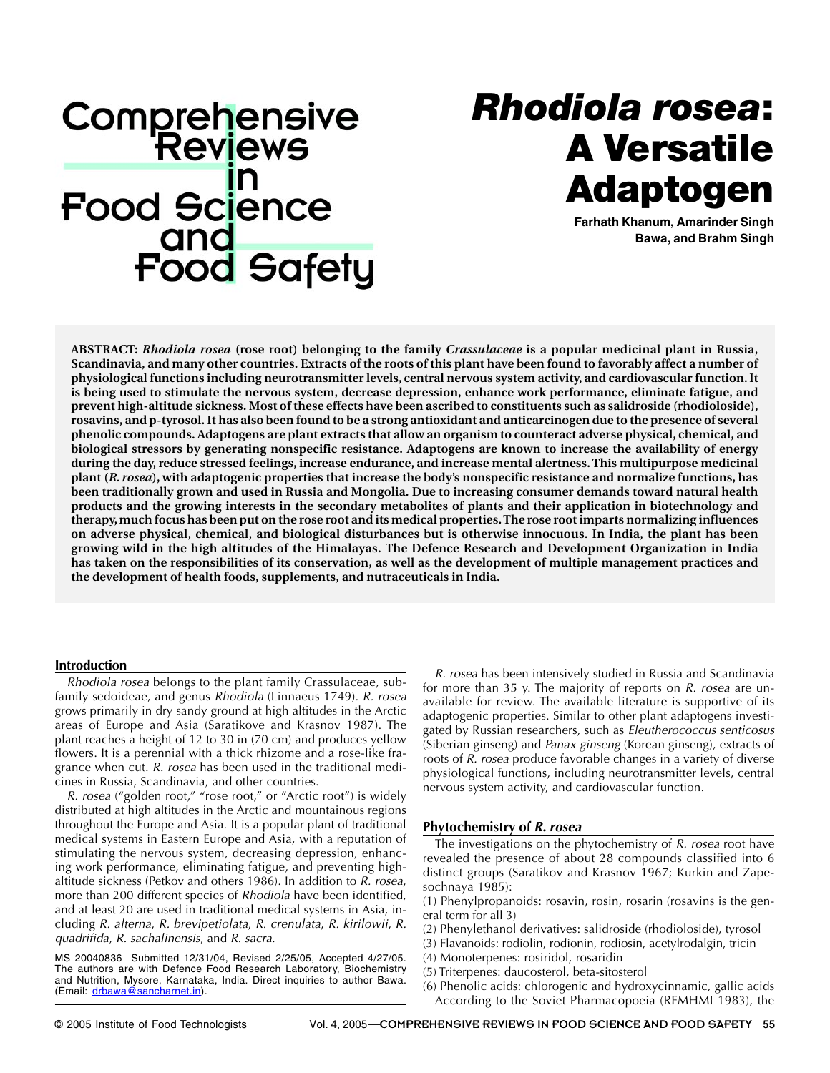# Comprehensive<br>Reviews<br>Food Science and<br>Food <del>S</del>afety

## *Rhodiola rosea***: A Versatile Adaptogen**

**Farhath Khanum, Amarinder Singh Bawa, and Brahm Singh**

**ABSTRACT:** *Rhodiola rosea* **(rose root) belonging to the family** *Crassulaceae* **is a popular medicinal plant in Russia, Scandinavia, and many other countries. Extracts of the roots of this plant have been found to favorably affect a number of physiological functions including neurotransmitter levels, central nervous system activity, and cardiovascular function. It is being used to stimulate the nervous system, decrease depression, enhance work performance, eliminate fatigue, and prevent high-altitude sickness. Most of these effects have been ascribed to constituents such as salidroside (rhodioloside), rosavins, and p-tyrosol. It has also been found to be a strong antioxidant and anticarcinogen due to the presence of several phenolic compounds. Adaptogens are plant extracts that allow an organism to counteract adverse physical, chemical, and biological stressors by generating nonspecific resistance. Adaptogens are known to increase the availability of energy during the day, reduce stressed feelings, increase endurance, and increase mental alertness. This multipurpose medicinal plant (***R. rosea***), with adaptogenic properties that increase the body's nonspecific resistance and normalize functions, has been traditionally grown and used in Russia and Mongolia. Due to increasing consumer demands toward natural health products and the growing interests in the secondary metabolites of plants and their application in biotechnology and therapy, much focus has been put on the rose root and its medical properties. The rose root imparts normalizing influences on adverse physical, chemical, and biological disturbances but is otherwise innocuous. In India, the plant has been growing wild in the high altitudes of the Himalayas. The Defence Research and Development Organization in India has taken on the responsibilities of its conservation, as well as the development of multiple management practices and the development of health foods, supplements, and nutraceuticals in India.**

#### **Introduction**

Rhodiola rosea belongs to the plant family Crassulaceae, subfamily sedoideae, and genus Rhodiola (Linnaeus 1749). R. rosea grows primarily in dry sandy ground at high altitudes in the Arctic areas of Europe and Asia (Saratikove and Krasnov 1987). The plant reaches a height of 12 to 30 in (70 cm) and produces yellow flowers. It is a perennial with a thick rhizome and a rose-like fragrance when cut. R. rosea has been used in the traditional medicines in Russia, Scandinavia, and other countries.

R. rosea ("golden root," "rose root," or "Arctic root") is widely distributed at high altitudes in the Arctic and mountainous regions throughout the Europe and Asia. It is a popular plant of traditional medical systems in Eastern Europe and Asia, with a reputation of stimulating the nervous system, decreasing depression, enhancing work performance, eliminating fatigue, and preventing highaltitude sickness (Petkov and others 1986). In addition to R. rosea, more than 200 different species of Rhodiola have been identified, and at least 20 are used in traditional medical systems in Asia, including R. alterna, R. brevipetiolata, R. crenulata, R. kirilowii, R. quadrifida, R. sachalinensis, and R. sacra.

R. rosea has been intensively studied in Russia and Scandinavia for more than 35 y. The majority of reports on R. rosea are unavailable for review. The available literature is supportive of its adaptogenic properties. Similar to other plant adaptogens investigated by Russian researchers, such as Eleutherococcus senticosus (Siberian ginseng) and Panax ginseng (Korean ginseng), extracts of roots of R. rosea produce favorable changes in a variety of diverse physiological functions, including neurotransmitter levels, central nervous system activity, and cardiovascular function.

#### **Phytochemistry of R. rosea**

The investigations on the phytochemistry of R. rosea root have revealed the presence of about 28 compounds classified into 6 distinct groups (Saratikov and Krasnov 1967; Kurkin and Zapesochnaya 1985):

(1) Phenylpropanoids: rosavin, rosin, rosarin (rosavins is the general term for all 3)

- (2) Phenylethanol derivatives: salidroside (rhodioloside), tyrosol
- (3) Flavanoids: rodiolin, rodionin, rodiosin, acetylrodalgin, tricin
- (4) Monoterpenes: rosiridol, rosaridin
- (5) Triterpenes: daucosterol, beta-sitosterol
- (6) Phenolic acids: chlorogenic and hydroxycinnamic, gallic acids According to the Soviet Pharmacopoeia (RFMHMI 1983), the

MS 20040836 Submitted 12/31/04, Revised 2/25/05, Accepted 4/27/05. The authors are with Defence Food Research Laboratory, Biochemistry and Nutrition, Mysore, Karnataka, India. Direct inquiries to author Bawa. (Email: [drbawa@sancharnet.in](mailto:drbawa@sancharnet.in)).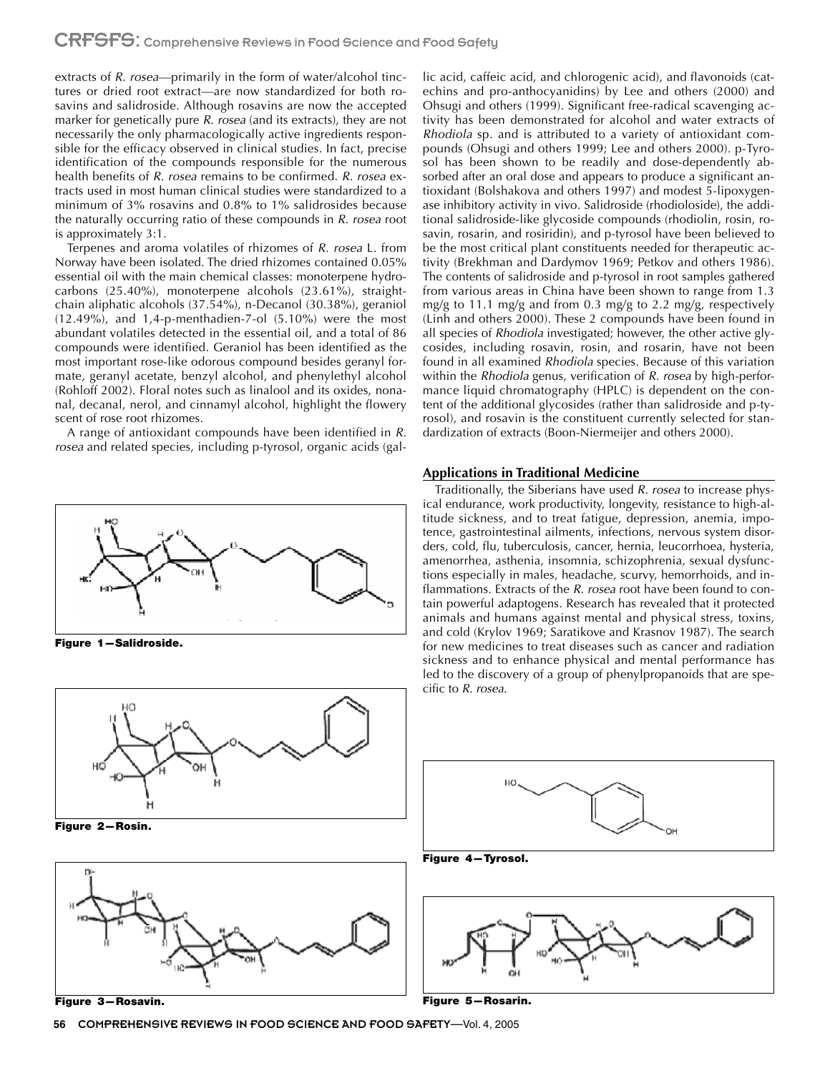### CRFSFS: Comprehensive Reviews in Food Science and Food Safety

extracts of R. rosea—primarily in the form of water/alcohol tinctures or dried root extract—are now standardized for both rosavins and salidroside. Although rosavins are now the accepted marker for genetically pure R. rosea (and its extracts), they are not necessarily the only pharmacologically active ingredients responsible for the efficacy observed in clinical studies. In fact, precise identification of the compounds responsible for the numerous health benefits of R. rosea remains to be confirmed. R. rosea extracts used in most human clinical studies were standardized to a minimum of 3% rosavins and 0.8% to 1% salidrosides because the naturally occurring ratio of these compounds in R. rosea root is approximately 3:1.

Terpenes and aroma volatiles of rhizomes of R. rosea L. from Norway have been isolated. The dried rhizomes contained 0.05% essential oil with the main chemical classes: monoterpene hydrocarbons (25.40%), monoterpene alcohols (23.61%), straightchain aliphatic alcohols (37.54%), n-Decanol (30.38%), geraniol (12.49%), and 1,4-p-menthadien-7-ol (5.10%) were the most abundant volatiles detected in the essential oil, and a total of 86 compounds were identified. Geraniol has been identified as the most important rose-like odorous compound besides geranyl formate, geranyl acetate, benzyl alcohol, and phenylethyl alcohol (Rohloff 2002). Floral notes such as linalool and its oxides, nonanal, decanal, nerol, and cinnamyl alcohol, highlight the flowery scent of rose root rhizomes.

A range of antioxidant compounds have been identified in R. rosea and related species, including p-tyrosol, organic acids (gal-



**Figure 1—Salidroside.**



**Figure 2—Rosin.**



lic acid, caffeic acid, and chlorogenic acid), and flavonoids (catechins and pro-anthocyanidins) by Lee and others (2000) and Ohsugi and others (1999). Significant free-radical scavenging activity has been demonstrated for alcohol and water extracts of Rhodiola sp. and is attributed to a variety of antioxidant compounds (Ohsugi and others 1999; Lee and others 2000). p-Tyrosol has been shown to be readily and dose-dependently absorbed after an oral dose and appears to produce a significant antioxidant (Bolshakova and others 1997) and modest 5-lipoxygenase inhibitory activity in vivo. Salidroside (rhodioloside), the additional salidroside-like glycoside compounds (rhodiolin, rosin, rosavin, rosarin, and rosiridin), and p-tyrosol have been believed to be the most critical plant constituents needed for therapeutic activity (Brekhman and Dardymov 1969; Petkov and others 1986). The contents of salidroside and p-tyrosol in root samples gathered from various areas in China have been shown to range from 1.3 mg/g to 11.1 mg/g and from 0.3 mg/g to 2.2 mg/g, respectively (Linh and others 2000). These 2 compounds have been found in all species of Rhodiola investigated; however, the other active glycosides, including rosavin, rosin, and rosarin, have not been found in all examined Rhodiola species. Because of this variation within the *Rhodiola* genus, verification of *R. rosea* by high-performance liquid chromatography (HPLC) is dependent on the content of the additional glycosides (rather than salidroside and p-tyrosol), and rosavin is the constituent currently selected for standardization of extracts (Boon-Niermeijer and others 2000).

#### **Applications in Traditional Medicine**

Traditionally, the Siberians have used R. rosea to increase physical endurance, work productivity, longevity, resistance to high-altitude sickness, and to treat fatigue, depression, anemia, impotence, gastrointestinal ailments, infections, nervous system disorders, cold, flu, tuberculosis, cancer, hernia, leucorrhoea, hysteria, amenorrhea, asthenia, insomnia, schizophrenia, sexual dysfunctions especially in males, headache, scurvy, hemorrhoids, and inflammations. Extracts of the R. rosea root have been found to contain powerful adaptogens. Research has revealed that it protected animals and humans against mental and physical stress, toxins, and cold (Krylov 1969; Saratikove and Krasnov 1987). The search for new medicines to treat diseases such as cancer and radiation sickness and to enhance physical and mental performance has led to the discovery of a group of phenylpropanoids that are specific to R. rosea.







**Figure 3—Rosavin. Figure 5—Rosarin.**

**56** COMPREHENSIVE REVIEWS IN FOOD SCIENCE AND FOOD SAFETY—Vol. 4, 2005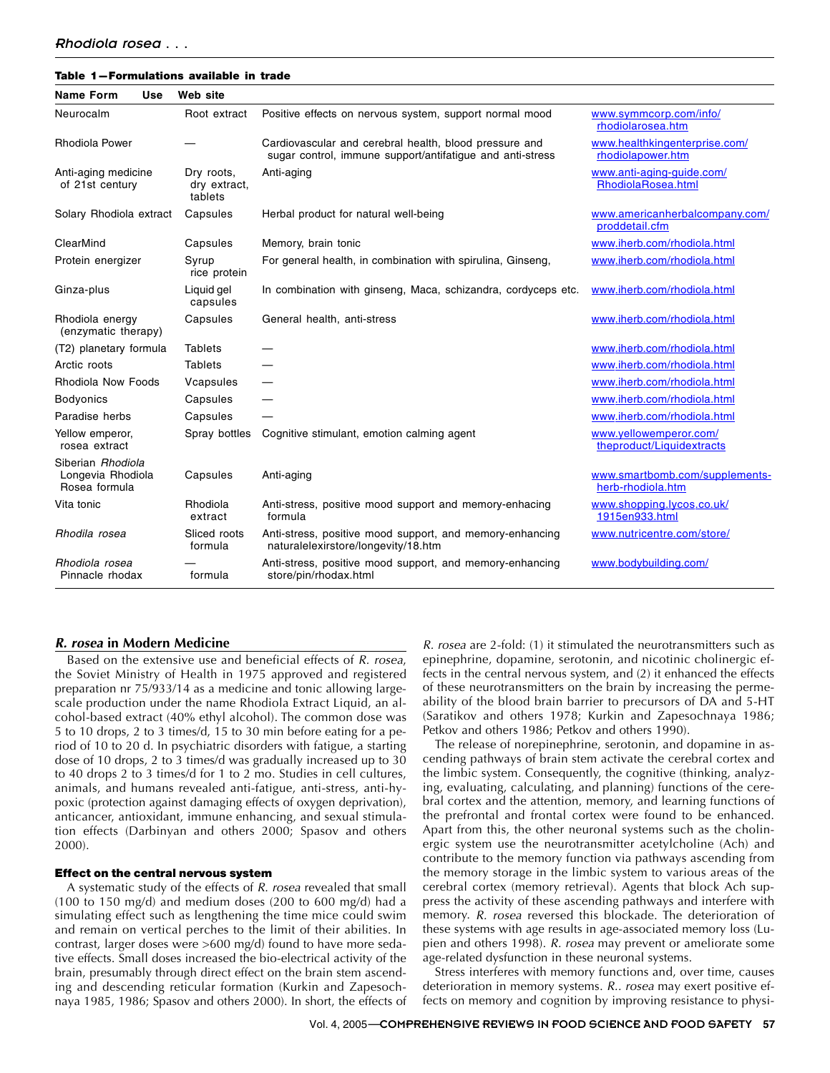**Table 1—Formulations available in trade**

| iable T-Formulations available in trade                 |                                       |                                                                                                                     |                                                     |
|---------------------------------------------------------|---------------------------------------|---------------------------------------------------------------------------------------------------------------------|-----------------------------------------------------|
| <b>Name Form</b><br><b>Use</b>                          | Web site                              |                                                                                                                     |                                                     |
| Neurocalm                                               | Root extract                          | Positive effects on nervous system, support normal mood                                                             | www.symmcorp.com/info/<br>rhodiolarosea.htm         |
| <b>Rhodiola Power</b>                                   |                                       | Cardiovascular and cerebral health, blood pressure and<br>sugar control, immune support/antifatigue and anti-stress | www.healthkingenterprise.com/<br>rhodiolapower.htm  |
| Anti-aging medicine<br>of 21st century                  | Dry roots,<br>dry extract.<br>tablets | Anti-aging                                                                                                          | www.anti-aging-guide.com/<br>RhodiolaRosea.html     |
| Solary Rhodiola extract                                 | Capsules                              | Herbal product for natural well-being                                                                               | www.americanherbalcompany.com/<br>proddetail.cfm    |
| ClearMind                                               | Capsules                              | Memory, brain tonic                                                                                                 | www.iherb.com/rhodiola.html                         |
| Protein energizer                                       | Syrup<br>rice protein                 | For general health, in combination with spirulina, Ginseng,                                                         | www.iherb.com/rhodiola.html                         |
| Ginza-plus                                              | Liquid gel<br>capsules                | In combination with ginseng, Maca, schizandra, cordyceps etc.                                                       | www.iherb.com/rhodiola.html                         |
| Rhodiola energy<br>(enzymatic therapy)                  | Capsules                              | General health, anti-stress                                                                                         | www.iherb.com/rhodiola.html                         |
| (T2) planetary formula                                  | <b>Tablets</b>                        |                                                                                                                     | www.iherb.com/rhodiola.html                         |
| Arctic roots                                            | <b>Tablets</b>                        |                                                                                                                     | www.iherb.com/rhodiola.html                         |
| <b>Rhodiola Now Foods</b>                               | Vcapsules                             |                                                                                                                     | www.iherb.com/rhodiola.html                         |
| <b>Bodyonics</b>                                        | Capsules                              |                                                                                                                     | www.iherb.com/rhodiola.html                         |
| Paradise herbs                                          | Capsules                              |                                                                                                                     | www.iherb.com/rhodiola.html                         |
| Yellow emperor,<br>rosea extract                        | Spray bottles                         | Cognitive stimulant, emotion calming agent                                                                          | www.yellowemperor.com/<br>theproduct/Liquidextracts |
| Siberian Rhodiola<br>Longevia Rhodiola<br>Rosea formula | Capsules                              | Anti-aging                                                                                                          | www.smartbomb.com/supplements-<br>herb-rhodiola.htm |
| Vita tonic                                              | Rhodiola<br>extract                   | Anti-stress, positive mood support and memory-enhacing<br>formula                                                   | www.shopping.lycos.co.uk/<br>1915en933.html         |
| Rhodila rosea                                           | Sliced roots<br>formula               | Anti-stress, positive mood support, and memory-enhancing<br>naturalelexirstore/longevity/18.htm                     | www.nutricentre.com/store/                          |
| Rhodiola rosea<br>Pinnacle rhodax                       | formula                               | Anti-stress, positive mood support, and memory-enhancing<br>store/pin/rhodax.html                                   | www.bodybuilding.com/                               |

#### **R. rosea in Modern Medicine**

Based on the extensive use and beneficial effects of R. rosea, the Soviet Ministry of Health in 1975 approved and registered preparation nr 75/933/14 as a medicine and tonic allowing largescale production under the name Rhodiola Extract Liquid, an alcohol-based extract (40% ethyl alcohol). The common dose was 5 to 10 drops, 2 to 3 times/d, 15 to 30 min before eating for a period of 10 to 20 d. In psychiatric disorders with fatigue, a starting dose of 10 drops, 2 to 3 times/d was gradually increased up to 30 to 40 drops 2 to 3 times/d for 1 to 2 mo. Studies in cell cultures, animals, and humans revealed anti-fatigue, anti-stress, anti-hypoxic (protection against damaging effects of oxygen deprivation), anticancer, antioxidant, immune enhancing, and sexual stimulation effects (Darbinyan and others 2000; Spasov and others 2000).

#### **Effect on the central nervous system**

A systematic study of the effects of R. rosea revealed that small  $(100 \text{ to } 150 \text{ mg/d})$  and medium doses  $(200 \text{ to } 600 \text{ mg/d})$  had a simulating effect such as lengthening the time mice could swim and remain on vertical perches to the limit of their abilities. In contrast, larger doses were >600 mg/d) found to have more sedative effects. Small doses increased the bio-electrical activity of the brain, presumably through direct effect on the brain stem ascending and descending reticular formation (Kurkin and Zapesochnaya 1985, 1986; Spasov and others 2000). In short, the effects of

R. rosea are 2-fold: (1) it stimulated the neurotransmitters such as epinephrine, dopamine, serotonin, and nicotinic cholinergic effects in the central nervous system, and (2) it enhanced the effects of these neurotransmitters on the brain by increasing the permeability of the blood brain barrier to precursors of DA and 5-HT (Saratikov and others 1978; Kurkin and Zapesochnaya 1986; Petkov and others 1986; Petkov and others 1990).

The release of norepinephrine, serotonin, and dopamine in ascending pathways of brain stem activate the cerebral cortex and the limbic system. Consequently, the cognitive (thinking, analyzing, evaluating, calculating, and planning) functions of the cerebral cortex and the attention, memory, and learning functions of the prefrontal and frontal cortex were found to be enhanced. Apart from this, the other neuronal systems such as the cholinergic system use the neurotransmitter acetylcholine (Ach) and contribute to the memory function via pathways ascending from the memory storage in the limbic system to various areas of the cerebral cortex (memory retrieval). Agents that block Ach suppress the activity of these ascending pathways and interfere with memory. R. rosea reversed this blockade. The deterioration of these systems with age results in age-associated memory loss (Lupien and others 1998). R. rosea may prevent or ameliorate some age-related dysfunction in these neuronal systems.

Stress interferes with memory functions and, over time, causes deterioration in memory systems. R. rosea may exert positive effects on memory and cognition by improving resistance to physi-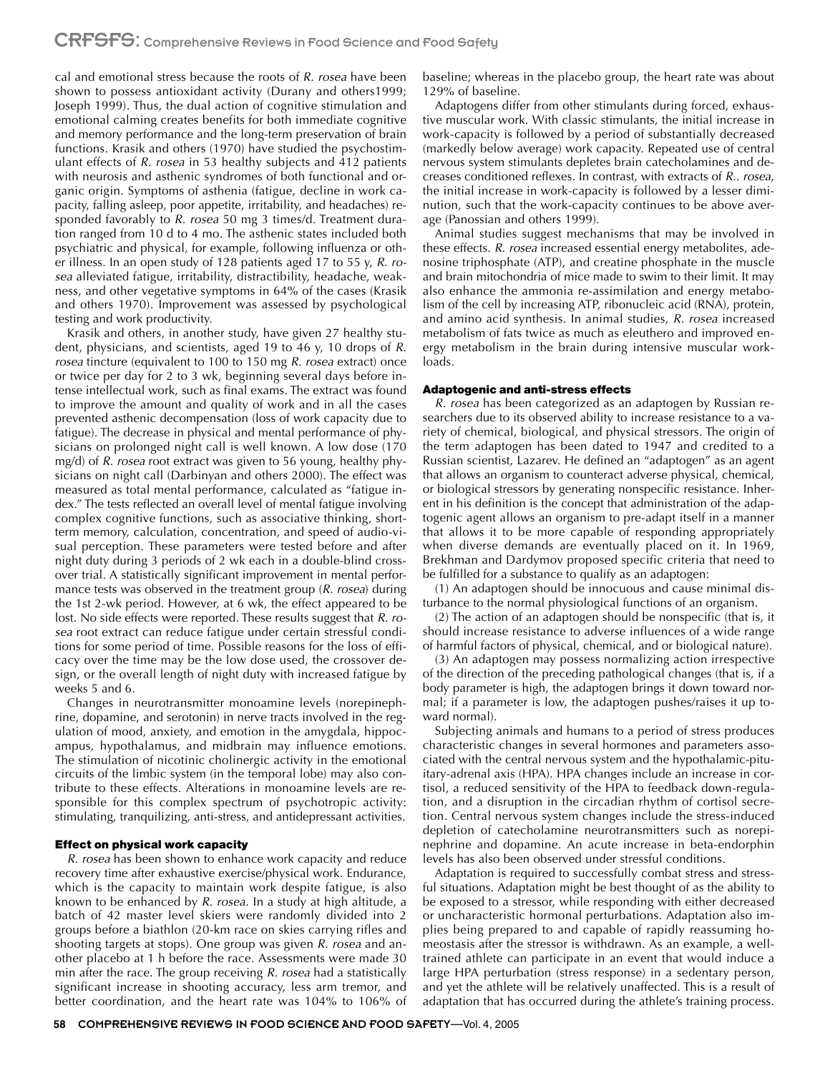cal and emotional stress because the roots of R. rosea have been shown to possess antioxidant activity (Durany and others1999; Joseph 1999). Thus, the dual action of cognitive stimulation and emotional calming creates benefits for both immediate cognitive and memory performance and the long-term preservation of brain functions. Krasik and others (1970) have studied the psychostimulant effects of R. rosea in 53 healthy subjects and 412 patients with neurosis and asthenic syndromes of both functional and organic origin. Symptoms of asthenia (fatigue, decline in work capacity, falling asleep, poor appetite, irritability, and headaches) responded favorably to  $R$ . rosea 50 mg 3 times/d. Treatment duration ranged from 10 d to 4 mo. The asthenic states included both psychiatric and physical, for example, following influenza or other illness. In an open study of 128 patients aged 17 to 55 y, R. rosea alleviated fatigue, irritability, distractibility, headache, weakness, and other vegetative symptoms in 64% of the cases (Krasik and others 1970). Improvement was assessed by psychological testing and work productivity.

Krasik and others, in another study, have given 27 healthy student, physicians, and scientists, aged 19 to 46 y, 10 drops of R. rosea tincture (equivalent to 100 to 150 mg R. rosea extract) once or twice per day for 2 to 3 wk, beginning several days before intense intellectual work, such as final exams. The extract was found to improve the amount and quality of work and in all the cases prevented asthenic decompensation (loss of work capacity due to fatigue). The decrease in physical and mental performance of physicians on prolonged night call is well known. A low dose (170 mg/d) of R. rosea root extract was given to 56 young, healthy physicians on night call (Darbinyan and others 2000). The effect was measured as total mental performance, calculated as "fatigue index." The tests reflected an overall level of mental fatigue involving complex cognitive functions, such as associative thinking, shortterm memory, calculation, concentration, and speed of audio-visual perception. These parameters were tested before and after night duty during 3 periods of 2 wk each in a double-blind crossover trial. A statistically significant improvement in mental performance tests was observed in the treatment group (R. rosea) during the 1st 2-wk period. However, at 6 wk, the effect appeared to be lost. No side effects were reported. These results suggest that R. rosea root extract can reduce fatigue under certain stressful conditions for some period of time. Possible reasons for the loss of efficacy over the time may be the low dose used, the crossover design, or the overall length of night duty with increased fatigue by weeks 5 and 6.

Changes in neurotransmitter monoamine levels (norepinephrine, dopamine, and serotonin) in nerve tracts involved in the regulation of mood, anxiety, and emotion in the amygdala, hippocampus, hypothalamus, and midbrain may influence emotions. The stimulation of nicotinic cholinergic activity in the emotional circuits of the limbic system (in the temporal lobe) may also contribute to these effects. Alterations in monoamine levels are responsible for this complex spectrum of psychotropic activity: stimulating, tranquilizing, anti-stress, and antidepressant activities.

#### **Effect on physical work capacity**

R. rosea has been shown to enhance work capacity and reduce recovery time after exhaustive exercise/physical work. Endurance, which is the capacity to maintain work despite fatigue, is also known to be enhanced by  $R$ . rosea. In a study at high altitude, a batch of 42 master level skiers were randomly divided into 2 groups before a biathlon (20-km race on skies carrying rifles and shooting targets at stops). One group was given  $R$ . rosea and another placebo at 1 h before the race. Assessments were made 30 min after the race. The group receiving *. rosea had a statistically* significant increase in shooting accuracy, less arm tremor, and better coordination, and the heart rate was 104% to 106% of

baseline; whereas in the placebo group, the heart rate was about 129% of baseline.

Adaptogens differ from other stimulants during forced, exhaustive muscular work. With classic stimulants, the initial increase in work-capacity is followed by a period of substantially decreased (markedly below average) work capacity. Repeated use of central nervous system stimulants depletes brain catecholamines and decreases conditioned reflexes. In contrast, with extracts of R.. rosea, the initial increase in work-capacity is followed by a lesser diminution, such that the work-capacity continues to be above average (Panossian and others 1999).

Animal studies suggest mechanisms that may be involved in these effects. R. rosea increased essential energy metabolites, adenosine triphosphate (ATP), and creatine phosphate in the muscle and brain mitochondria of mice made to swim to their limit. It may also enhance the ammonia re-assimilation and energy metabolism of the cell by increasing ATP, ribonucleic acid (RNA), protein, and amino acid synthesis. In animal studies, R. rosea increased metabolism of fats twice as much as eleuthero and improved energy metabolism in the brain during intensive muscular workloads.

#### **Adaptogenic and anti-stress effects**

R. rosea has been categorized as an adaptogen by Russian researchers due to its observed ability to increase resistance to a variety of chemical, biological, and physical stressors. The origin of the term adaptogen has been dated to 1947 and credited to a Russian scientist, Lazarev. He defined an "adaptogen" as an agent that allows an organism to counteract adverse physical, chemical, or biological stressors by generating nonspecific resistance. Inherent in his definition is the concept that administration of the adaptogenic agent allows an organism to pre-adapt itself in a manner that allows it to be more capable of responding appropriately when diverse demands are eventually placed on it. In 1969, Brekhman and Dardymov proposed specific criteria that need to be fulfilled for a substance to qualify as an adaptogen:

(1) An adaptogen should be innocuous and cause minimal disturbance to the normal physiological functions of an organism.

(2) The action of an adaptogen should be nonspecific (that is, it should increase resistance to adverse influences of a wide range of harmful factors of physical, chemical, and or biological nature).

(3) An adaptogen may possess normalizing action irrespective of the direction of the preceding pathological changes (that is, if a body parameter is high, the adaptogen brings it down toward normal; if a parameter is low, the adaptogen pushes/raises it up toward normal).

Subjecting animals and humans to a period of stress produces characteristic changes in several hormones and parameters associated with the central nervous system and the hypothalamic-pituitary-adrenal axis (HPA). HPA changes include an increase in cortisol, a reduced sensitivity of the HPA to feedback down-regulation, and a disruption in the circadian rhythm of cortisol secretion. Central nervous system changes include the stress-induced depletion of catecholamine neurotransmitters such as norepinephrine and dopamine. An acute increase in beta-endorphin levels has also been observed under stressful conditions.

Adaptation is required to successfully combat stress and stressful situations. Adaptation might be best thought of as the ability to be exposed to a stressor, while responding with either decreased or uncharacteristic hormonal perturbations. Adaptation also implies being prepared to and capable of rapidly reassuming homeostasis after the stressor is withdrawn. As an example, a welltrained athlete can participate in an event that would induce a large HPA perturbation (stress response) in a sedentary person, and yet the athlete will be relatively unaffected. This is a result of adaptation that has occurred during the athlete's training process.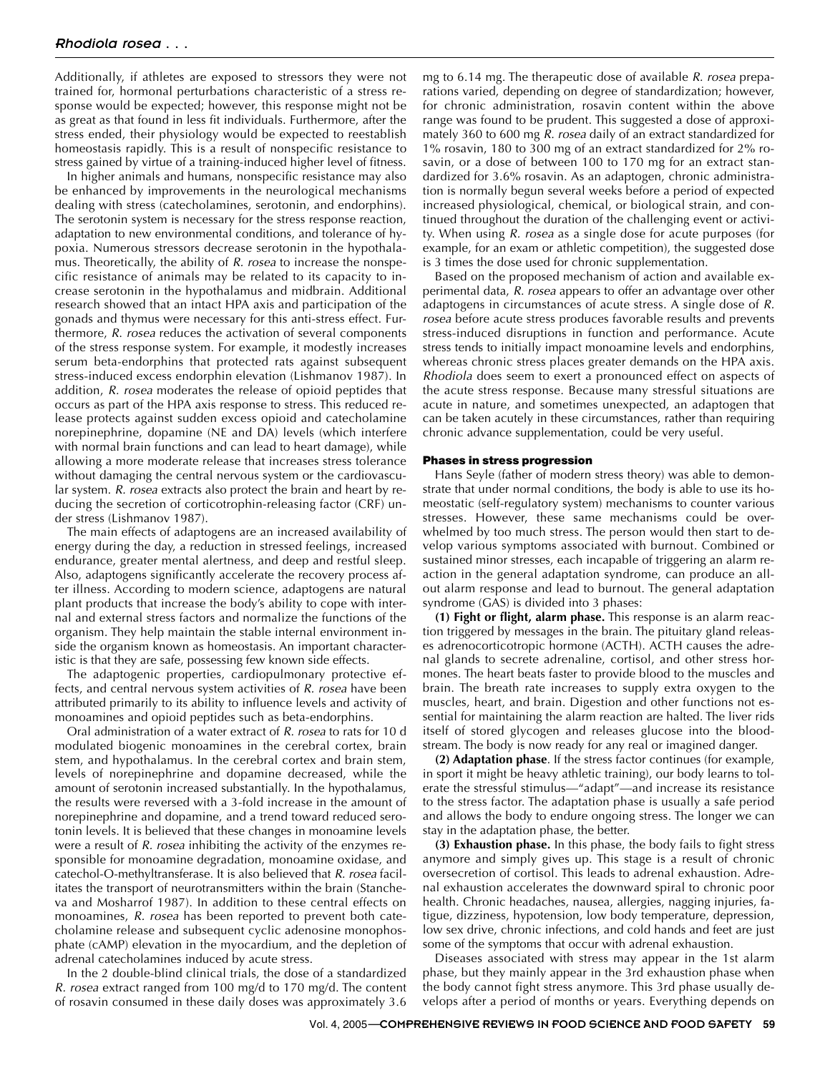Additionally, if athletes are exposed to stressors they were not trained for, hormonal perturbations characteristic of a stress response would be expected; however, this response might not be as great as that found in less fit individuals. Furthermore, after the stress ended, their physiology would be expected to reestablish homeostasis rapidly. This is a result of nonspecific resistance to stress gained by virtue of a training-induced higher level of fitness.

In higher animals and humans, nonspecific resistance may also be enhanced by improvements in the neurological mechanisms dealing with stress (catecholamines, serotonin, and endorphins). The serotonin system is necessary for the stress response reaction, adaptation to new environmental conditions, and tolerance of hypoxia. Numerous stressors decrease serotonin in the hypothalamus. Theoretically, the ability of R. rosea to increase the nonspecific resistance of animals may be related to its capacity to increase serotonin in the hypothalamus and midbrain. Additional research showed that an intact HPA axis and participation of the gonads and thymus were necessary for this anti-stress effect. Furthermore, R. rosea reduces the activation of several components of the stress response system. For example, it modestly increases serum beta-endorphins that protected rats against subsequent stress-induced excess endorphin elevation (Lishmanov 1987). In addition, R. rosea moderates the release of opioid peptides that occurs as part of the HPA axis response to stress. This reduced release protects against sudden excess opioid and catecholamine norepinephrine, dopamine (NE and DA) levels (which interfere with normal brain functions and can lead to heart damage), while allowing a more moderate release that increases stress tolerance without damaging the central nervous system or the cardiovascular system. R. rosea extracts also protect the brain and heart by reducing the secretion of corticotrophin-releasing factor (CRF) under stress (Lishmanov 1987).

The main effects of adaptogens are an increased availability of energy during the day, a reduction in stressed feelings, increased endurance, greater mental alertness, and deep and restful sleep. Also, adaptogens significantly accelerate the recovery process after illness. According to modern science, adaptogens are natural plant products that increase the body's ability to cope with internal and external stress factors and normalize the functions of the organism. They help maintain the stable internal environment inside the organism known as homeostasis. An important characteristic is that they are safe, possessing few known side effects.

The adaptogenic properties, cardiopulmonary protective effects, and central nervous system activities of R. rosea have been attributed primarily to its ability to influence levels and activity of monoamines and opioid peptides such as beta-endorphins.

Oral administration of a water extract of R. rosea to rats for 10 d modulated biogenic monoamines in the cerebral cortex, brain stem, and hypothalamus. In the cerebral cortex and brain stem, levels of norepinephrine and dopamine decreased, while the amount of serotonin increased substantially. In the hypothalamus, the results were reversed with a 3-fold increase in the amount of norepinephrine and dopamine, and a trend toward reduced serotonin levels. It is believed that these changes in monoamine levels were a result of R. rosea inhibiting the activity of the enzymes responsible for monoamine degradation, monoamine oxidase, and catechol-O-methyltransferase. It is also believed that R. rosea facilitates the transport of neurotransmitters within the brain (Stancheva and Mosharrof 1987). In addition to these central effects on monoamines, R. rosea has been reported to prevent both catecholamine release and subsequent cyclic adenosine monophosphate (cAMP) elevation in the myocardium, and the depletion of adrenal catecholamines induced by acute stress.

In the 2 double-blind clinical trials, the dose of a standardized R. rosea extract ranged from 100 mg/d to 170 mg/d. The content of rosavin consumed in these daily doses was approximately 3.6

mg to 6.14 mg. The therapeutic dose of available R. rosea preparations varied, depending on degree of standardization; however, for chronic administration, rosavin content within the above range was found to be prudent. This suggested a dose of approximately 360 to 600 mg R. rosea daily of an extract standardized for 1% rosavin, 180 to 300 mg of an extract standardized for 2% rosavin, or a dose of between 100 to 170 mg for an extract standardized for 3.6% rosavin. As an adaptogen, chronic administration is normally begun several weeks before a period of expected increased physiological, chemical, or biological strain, and continued throughout the duration of the challenging event or activity. When using R. rosea as a single dose for acute purposes (for example, for an exam or athletic competition), the suggested dose is 3 times the dose used for chronic supplementation.

Based on the proposed mechanism of action and available experimental data, R. rosea appears to offer an advantage over other adaptogens in circumstances of acute stress. A single dose of R. rosea before acute stress produces favorable results and prevents stress-induced disruptions in function and performance. Acute stress tends to initially impact monoamine levels and endorphins, whereas chronic stress places greater demands on the HPA axis. Rhodiola does seem to exert a pronounced effect on aspects of the acute stress response. Because many stressful situations are acute in nature, and sometimes unexpected, an adaptogen that can be taken acutely in these circumstances, rather than requiring chronic advance supplementation, could be very useful.

#### **Phases in stress progression**

Hans Seyle (father of modern stress theory) was able to demonstrate that under normal conditions, the body is able to use its homeostatic (self-regulatory system) mechanisms to counter various stresses. However, these same mechanisms could be overwhelmed by too much stress. The person would then start to develop various symptoms associated with burnout. Combined or sustained minor stresses, each incapable of triggering an alarm reaction in the general adaptation syndrome, can produce an allout alarm response and lead to burnout. The general adaptation syndrome (GAS) is divided into 3 phases:

**(1) Fight or flight, alarm phase.** This response is an alarm reaction triggered by messages in the brain. The pituitary gland releases adrenocorticotropic hormone (ACTH). ACTH causes the adrenal glands to secrete adrenaline, cortisol, and other stress hormones. The heart beats faster to provide blood to the muscles and brain. The breath rate increases to supply extra oxygen to the muscles, heart, and brain. Digestion and other functions not essential for maintaining the alarm reaction are halted. The liver rids itself of stored glycogen and releases glucose into the bloodstream. The body is now ready for any real or imagined danger.

**(2) Adaptation phase**. If the stress factor continues (for example, in sport it might be heavy athletic training), our body learns to tolerate the stressful stimulus—"adapt"—and increase its resistance to the stress factor. The adaptation phase is usually a safe period and allows the body to endure ongoing stress. The longer we can stay in the adaptation phase, the better.

**(3) Exhaustion phase.** In this phase, the body fails to fight stress anymore and simply gives up. This stage is a result of chronic oversecretion of cortisol. This leads to adrenal exhaustion. Adrenal exhaustion accelerates the downward spiral to chronic poor health. Chronic headaches, nausea, allergies, nagging injuries, fatigue, dizziness, hypotension, low body temperature, depression, low sex drive, chronic infections, and cold hands and feet are just some of the symptoms that occur with adrenal exhaustion.

Diseases associated with stress may appear in the 1st alarm phase, but they mainly appear in the 3rd exhaustion phase when the body cannot fight stress anymore. This 3rd phase usually develops after a period of months or years. Everything depends on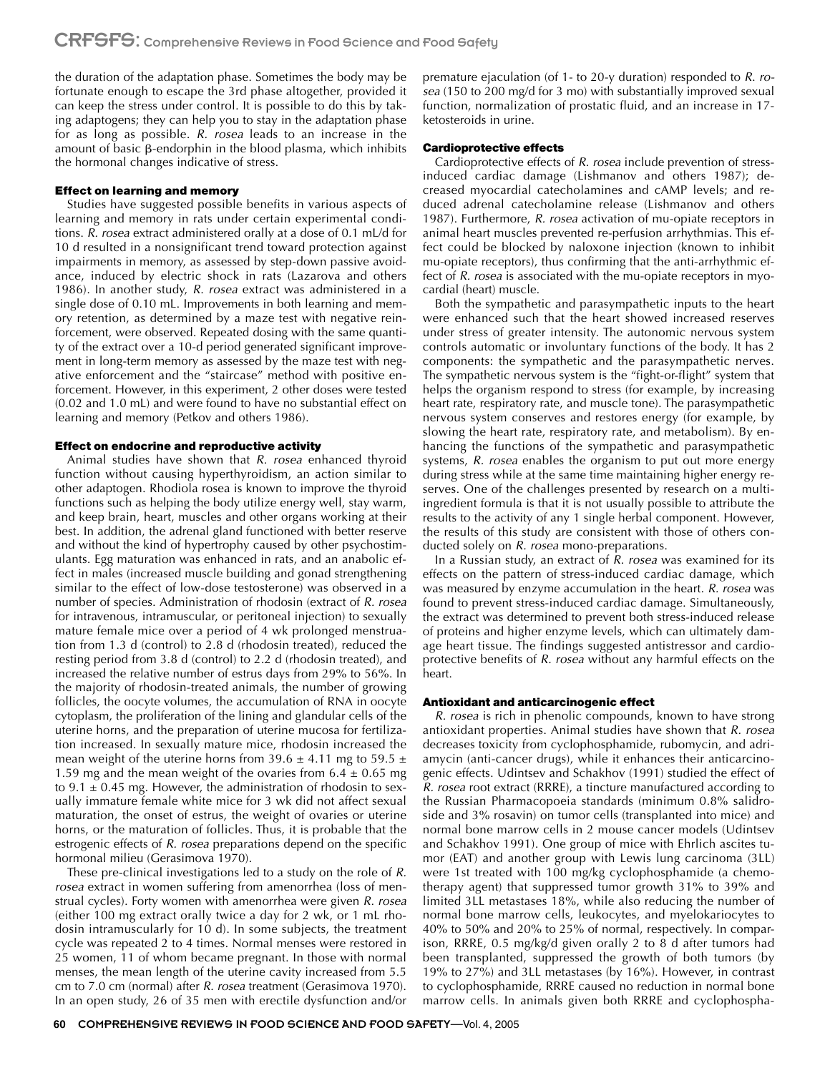the duration of the adaptation phase. Sometimes the body may be fortunate enough to escape the 3rd phase altogether, provided it can keep the stress under control. It is possible to do this by taking adaptogens; they can help you to stay in the adaptation phase for as long as possible. R. rosea leads to an increase in the amount of basic  $\beta$ -endorphin in the blood plasma, which inhibits the hormonal changes indicative of stress.

#### **Effect on learning and memory**

Studies have suggested possible benefits in various aspects of learning and memory in rats under certain experimental conditions. R. rosea extract administered orally at a dose of 0.1 mL/d for 10 d resulted in a nonsignificant trend toward protection against impairments in memory, as assessed by step-down passive avoidance, induced by electric shock in rats (Lazarova and others 1986). In another study, R. rosea extract was administered in a single dose of 0.10 mL. Improvements in both learning and memory retention, as determined by a maze test with negative reinforcement, were observed. Repeated dosing with the same quantity of the extract over a 10-d period generated significant improvement in long-term memory as assessed by the maze test with negative enforcement and the "staircase" method with positive enforcement. However, in this experiment, 2 other doses were tested (0.02 and 1.0 mL) and were found to have no substantial effect on learning and memory (Petkov and others 1986).

#### **Effect on endocrine and reproductive activity**

Animal studies have shown that R. rosea enhanced thyroid function without causing hyperthyroidism, an action similar to other adaptogen. Rhodiola rosea is known to improve the thyroid functions such as helping the body utilize energy well, stay warm, and keep brain, heart, muscles and other organs working at their best. In addition, the adrenal gland functioned with better reserve and without the kind of hypertrophy caused by other psychostimulants. Egg maturation was enhanced in rats, and an anabolic effect in males (increased muscle building and gonad strengthening similar to the effect of low-dose testosterone) was observed in a number of species. Administration of rhodosin (extract of R. rosea for intravenous, intramuscular, or peritoneal injection) to sexually mature female mice over a period of 4 wk prolonged menstruation from 1.3 d (control) to 2.8 d (rhodosin treated), reduced the resting period from 3.8 d (control) to 2.2 d (rhodosin treated), and increased the relative number of estrus days from 29% to 56%. In the majority of rhodosin-treated animals, the number of growing follicles, the oocyte volumes, the accumulation of RNA in oocyte cytoplasm, the proliferation of the lining and glandular cells of the uterine horns, and the preparation of uterine mucosa for fertilization increased. In sexually mature mice, rhodosin increased the mean weight of the uterine horns from 39.6  $\pm$  4.11 mg to 59.5  $\pm$ 1.59 mg and the mean weight of the ovaries from  $6.4 \pm 0.65$  mg to  $9.1 \pm 0.45$  mg. However, the administration of rhodosin to sexually immature female white mice for 3 wk did not affect sexual maturation, the onset of estrus, the weight of ovaries or uterine horns, or the maturation of follicles. Thus, it is probable that the estrogenic effects of R. rosea preparations depend on the specific hormonal milieu (Gerasimova 1970).

These pre-clinical investigations led to a study on the role of R. rosea extract in women suffering from amenorrhea (loss of menstrual cycles). Forty women with amenorrhea were given R. rosea (either 100 mg extract orally twice a day for 2 wk, or 1 mL rhodosin intramuscularly for 10 d). In some subjects, the treatment cycle was repeated 2 to 4 times. Normal menses were restored in 25 women, 11 of whom became pregnant. In those with normal menses, the mean length of the uterine cavity increased from 5.5 cm to 7.0 cm (normal) after R. rosea treatment (Gerasimova 1970). In an open study, 26 of 35 men with erectile dysfunction and/or

premature ejaculation (of 1- to 20-y duration) responded to R. rosea (150 to 200 mg/d for 3 mo) with substantially improved sexual function, normalization of prostatic fluid, and an increase in 17 ketosteroids in urine.

#### **Cardioprotective effects**

Cardioprotective effects of R. rosea include prevention of stressinduced cardiac damage (Lishmanov and others 1987); decreased myocardial catecholamines and cAMP levels; and reduced adrenal catecholamine release (Lishmanov and others 1987). Furthermore, R. rosea activation of mu-opiate receptors in animal heart muscles prevented re-perfusion arrhythmias. This effect could be blocked by naloxone injection (known to inhibit mu-opiate receptors), thus confirming that the anti-arrhythmic effect of R. rosea is associated with the mu-opiate receptors in myocardial (heart) muscle.

Both the sympathetic and parasympathetic inputs to the heart were enhanced such that the heart showed increased reserves under stress of greater intensity. The autonomic nervous system controls automatic or involuntary functions of the body. It has 2 components: the sympathetic and the parasympathetic nerves. The sympathetic nervous system is the "fight-or-flight" system that helps the organism respond to stress (for example, by increasing heart rate, respiratory rate, and muscle tone). The parasympathetic nervous system conserves and restores energy (for example, by slowing the heart rate, respiratory rate, and metabolism). By enhancing the functions of the sympathetic and parasympathetic systems, R. rosea enables the organism to put out more energy during stress while at the same time maintaining higher energy reserves. One of the challenges presented by research on a multiingredient formula is that it is not usually possible to attribute the results to the activity of any 1 single herbal component. However, the results of this study are consistent with those of others conducted solely on R. rosea mono-preparations.

In a Russian study, an extract of R. rosea was examined for its effects on the pattern of stress-induced cardiac damage, which was measured by enzyme accumulation in the heart. R. rosea was found to prevent stress-induced cardiac damage. Simultaneously, the extract was determined to prevent both stress-induced release of proteins and higher enzyme levels, which can ultimately damage heart tissue. The findings suggested antistressor and cardioprotective benefits of R. rosea without any harmful effects on the heart.

#### **Antioxidant and anticarcinogenic effect**

R. rosea is rich in phenolic compounds, known to have strong antioxidant properties. Animal studies have shown that R. rosea decreases toxicity from cyclophosphamide, rubomycin, and adriamycin (anti-cancer drugs), while it enhances their anticarcinogenic effects. Udintsev and Schakhov (1991) studied the effect of R. rosea root extract (RRRE), a tincture manufactured according to the Russian Pharmacopoeia standards (minimum 0.8% salidroside and 3% rosavin) on tumor cells (transplanted into mice) and normal bone marrow cells in 2 mouse cancer models (Udintsev and Schakhov 1991). One group of mice with Ehrlich ascites tumor (EAT) and another group with Lewis lung carcinoma (3LL) were 1st treated with 100 mg/kg cyclophosphamide (a chemotherapy agent) that suppressed tumor growth 31% to 39% and limited 3LL metastases 18%, while also reducing the number of normal bone marrow cells, leukocytes, and myelokariocytes to 40% to 50% and 20% to 25% of normal, respectively. In comparison, RRRE, 0.5 mg/kg/d given orally 2 to 8 d after tumors had been transplanted, suppressed the growth of both tumors (by 19% to 27%) and 3LL metastases (by 16%). However, in contrast to cyclophosphamide, RRRE caused no reduction in normal bone marrow cells. In animals given both RRRE and cyclophospha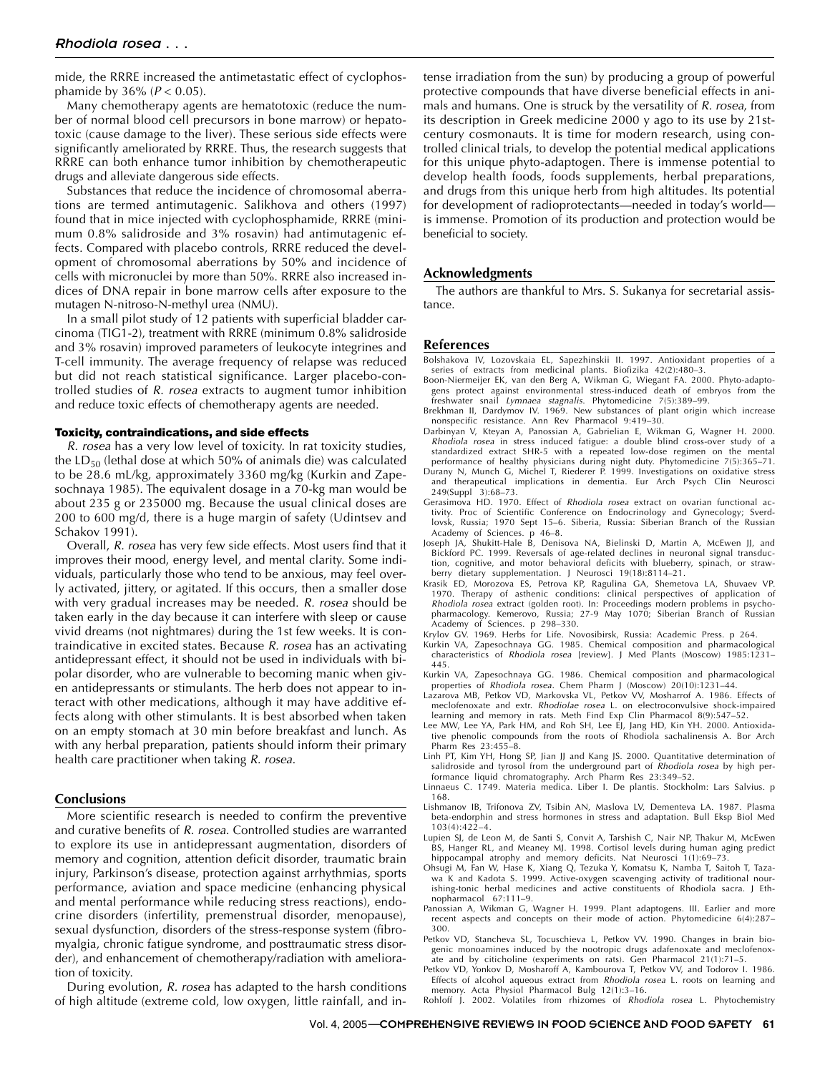mide, the RRRE increased the antimetastatic effect of cyclophosphamide by  $36\%$  ( $P < 0.05$ ).

Many chemotherapy agents are hematotoxic (reduce the number of normal blood cell precursors in bone marrow) or hepatotoxic (cause damage to the liver). These serious side effects were significantly ameliorated by RRRE. Thus, the research suggests that RRRE can both enhance tumor inhibition by chemotherapeutic drugs and alleviate dangerous side effects.

Substances that reduce the incidence of chromosomal aberrations are termed antimutagenic. Salikhova and others (1997) found that in mice injected with cyclophosphamide, RRRE (minimum 0.8% salidroside and 3% rosavin) had antimutagenic effects. Compared with placebo controls, RRRE reduced the development of chromosomal aberrations by 50% and incidence of cells with micronuclei by more than 50%. RRRE also increased indices of DNA repair in bone marrow cells after exposure to the mutagen N-nitroso-N-methyl urea (NMU).

In a small pilot study of 12 patients with superficial bladder carcinoma (TIG1-2), treatment with RRRE (minimum 0.8% salidroside and 3% rosavin) improved parameters of leukocyte integrines and T-cell immunity. The average frequency of relapse was reduced but did not reach statistical significance. Larger placebo-controlled studies of R. rosea extracts to augment tumor inhibition and reduce toxic effects of chemotherapy agents are needed.

#### **Toxicity, contraindications, and side effects**

R. rosea has a very low level of toxicity. In rat toxicity studies, the  $LD_{50}$  (lethal dose at which 50% of animals die) was calculated to be 28.6 mL/kg, approximately 3360 mg/kg (Kurkin and Zapesochnaya 1985). The equivalent dosage in a 70-kg man would be about 235 g or 235000 mg. Because the usual clinical doses are 200 to 600 mg/d, there is a huge margin of safety (Udintsev and Schakov 1991).

Overall, R. rosea has very few side effects. Most users find that it improves their mood, energy level, and mental clarity. Some individuals, particularly those who tend to be anxious, may feel overly activated, jittery, or agitated. If this occurs, then a smaller dose with very gradual increases may be needed. R. rosea should be taken early in the day because it can interfere with sleep or cause vivid dreams (not nightmares) during the 1st few weeks. It is contraindicative in excited states. Because R. rosea has an activating antidepressant effect, it should not be used in individuals with bipolar disorder, who are vulnerable to becoming manic when given antidepressants or stimulants. The herb does not appear to interact with other medications, although it may have additive effects along with other stimulants. It is best absorbed when taken on an empty stomach at 30 min before breakfast and lunch. As with any herbal preparation, patients should inform their primary health care practitioner when taking R. rosea.

#### **Conclusions**

More scientific research is needed to confirm the preventive and curative benefits of R. rosea. Controlled studies are warranted to explore its use in antidepressant augmentation, disorders of memory and cognition, attention deficit disorder, traumatic brain injury, Parkinson's disease, protection against arrhythmias, sports performance, aviation and space medicine (enhancing physical and mental performance while reducing stress reactions), endocrine disorders (infertility, premenstrual disorder, menopause), sexual dysfunction, disorders of the stress-response system (fibromyalgia, chronic fatigue syndrome, and posttraumatic stress disorder), and enhancement of chemotherapy/radiation with amelioration of toxicity.

During evolution, R. rosea has adapted to the harsh conditions of high altitude (extreme cold, low oxygen, little rainfall, and intense irradiation from the sun) by producing a group of powerful protective compounds that have diverse beneficial effects in animals and humans. One is struck by the versatility of R. rosea, from its description in Greek medicine 2000 y ago to its use by 21stcentury cosmonauts. It is time for modern research, using controlled clinical trials, to develop the potential medical applications for this unique phyto-adaptogen. There is immense potential to develop health foods, foods supplements, herbal preparations, and drugs from this unique herb from high altitudes. Its potential for development of radioprotectants—needed in today's world is immense. Promotion of its production and protection would be beneficial to society.

#### **Acknowledgments**

The authors are thankful to Mrs. S. Sukanya for secretarial assistance.

#### **References**

- Bolshakova IV, Lozovskaia EL, Sapezhinskii II. 1997. Antioxidant properties of a series of extracts from medicinal plants. Biofizika 42(2):480–3.
- Boon-Niermeijer EK, van den Berg A, Wikman G, Wiegant FA. 2000. Phyto-adaptogens protect against environmental stress-induced death of embryos from the freshwater snail Lymnaea stagnalis. Phytomedicine 7(5):389–99.
- Brekhman II, Dardymov IV. 1969. New substances of plant origin which increase nonspecific resistance. Ann Rev Pharmacol 9:419–30.
- Darbinyan V, Kteyan A, Panossian A, Gabrielian E, Wikman G, Wagner H. 2000. Rhodiola rosea in stress induced fatigue: a double blind cross-over study of a standardized extract SHR-5 with a repeated low-dose regimen on the mental performance of healthy physicians during night duty. Phytomedicine 7(5):365–71.
- Durany N, Munch G, Michel T, Riederer P. 1999. Investigations on oxidative stress and therapeutical implications in dementia. Eur Arch Psych Clin Neurosci 249(Suppl 3):68–73.
- Gerasimova HD. 1970. Effect of Rhodiola rosea extract on ovarian functional activity. Proc of Scientific Conference on Endocrinology and Gynecology; Sverdlovsk, Russia; 1970 Sept 15–6. Siberia, Russia: Siberian Branch of the Russian Academy of Sciences. p 46–8.<br>Joseph JA, Shukitt-Hale B, Denis
- Shukitt-Hale B, Denisova NA, Bielinski D, Martin A, McEwen JJ, and Bickford PC. 1999. Reversals of age-related declines in neuronal signal transduction, cognitive, and motor behavioral deficits with blueberry, spinach, or strawberry dietary supplementation. J Neurosci 19(18):8114–21.
- Krasik ED, Morozova ES, Petrova KP, Ragulina GA, Shemetova LA, Shuvaev VP. 1970. Therapy of asthenic conditions: clinical perspectives of application of Rhodiola rosea extract (golden root). In: Proceedings modern problems in psychopharmacology. Kemerovo, Russia; 27-9 May 1070; Siberian Branch of Russian Academy of Sciences. p 298–330. Krylov GV. 1969. Herbs for Life. Novosibirsk, Russia: Academic Press. p 264.
- 
- Kurkin VA, Zapesochnaya GG. 1985. Chemical composition and pharmacological characteristics of Rhodiola rosea [review]. J Med Plants (Moscow) 1985:1231– 445.
- Kurkin VA, Zapesochnaya GG. 1986. Chemical composition and pharmacological properties of Rhodiola rosea. Chem Pharm J (Moscow) 20(10):1231–44.
- Lazarova MB, Petkov VD, Markovska VL, Petkov VV, Mosharrof A. 1986. Effects of meclofenoxate and extr. *Rhodiolae rosea* L. on electroconvulsive shock-impaired learning and memory in rats. Meth Find Exp Clin Pharmacol 8(9):547–52.
- Lee MW, Lee YA, Park HM, and Roh SH, Lee EJ, Jang HD, Kin YH. 2000. Antioxidative phenolic compounds from the roots of Rhodiola sachalinensis A. Bor Arch Pharm Res 23:455–8.
- Linh PT, Kim YH, Hong SP, Jian JJ and Kang JS. 2000. Quantitative determination of salidroside and tyrosol from the underground part of Rhodiola rosea by high performance liquid chromatography. Arch Pharm Res 23:349-52.
- Linnaeus C. 1749. Materia medica. Liber I. De plantis. Stockholm: Lars Salvius. p 168.
- Lishmanov IB, Trifonova ZV, Tsibin AN, Maslova LV, Dementeva LA. 1987. Plasma beta-endorphin and stress hormones in stress and adaptation. Bull Eksp Biol Med  $103(4):422-4$ .
- Lupien SJ, de Leon M, de Santi S, Convit A, Tarshish C, Nair NP, Thakur M, McEwen BS, Hanger RL, and Meaney MJ. 1998. Cortisol levels during human aging predict hippocampal atrophy and memory deficits. Nat Neurosci 1(1):69-73.
- Ohsugi M, Fan W, Hase K, Xiang Q, Tezuka Y, Komatsu K, Namba T, Saitoh T, Tazawa K and Kadota S. 1999. Active-oxygen scavenging activity of traditional nourishing-tonic herbal medicines and active constituents of Rhodiola sacra. J Ethnopharmacol 67:111–9.
- Panossian A, Wikman G, Wagner H. 1999. Plant adaptogens. III. Earlier and more recent aspects and concepts on their mode of action. Phytomedicine 6(4):287– 300.
- Petkov VD, Stancheva SL, Tocuschieva L, Petkov VV. 1990. Changes in brain biogenic monoamines induced by the nootropic drugs adafenoxate and meclofenoxate and by citicholine (experiments on rats). Gen Pharmacol 21(1):71–5.
- Petkov VD, Yonkov D, Mosharoff A, Kambourova T, Petkov VV, and Todorov I. 1986. Effects of alcohol aqueous extract from Rhodiola rosea L. roots on learning and memory. Acta Physiol Pharmacol Bulg 12(1):3-16.
- Rohloff J. 2002. Volatiles from rhizomes of Rhodiola rosea L. Phytochemistry